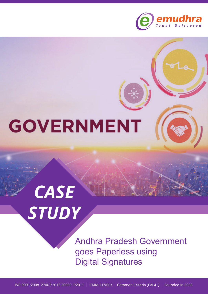

## **GOVERNMENT**

# *CASE STUDY*

Andhra Pradesh Government goes Paperless using Digital Signatures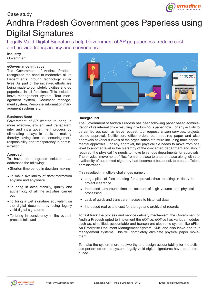### Andhra Pradesh Government goes Paperless using Digital Signatures

Legally Valid Digital Signatures help Government of AP go paperless, reduce cost and provide transparency and convenience

**Industry**

#### Government

#### **eGovernance initiative**

The Government of Andhra Pradesh recognized the need to modernize all its Departments through technology initiatives. As part of the initiative, efforts are being made to completely digitize and go paperless in all functions. This includes leave management system, Tour management system, Document management system, Personnel information management systems etc.

#### **Business Need**

Government of AP wanted to bring in more effective, efficient and transparent inter and intra government process by eliminating delays in decision making thereby saving time and ensuring more responsibility and transparency in administration.

#### **Approach**

To have an integrated solution that addresses the following:

- Shorten time period in decision making
- To make availability of data/information anytime and anywhere
- To bring in accountability, quality and authenticity of all the activities carried out
- To bring a wet signature equivalent on the digital document by using legally valid digital signatures
- To bring in consistency in the overall process followed



#### **Background**

The Government of Andhra Pradesh has been following paper based administration of its internal office resulting in voluminous paper flow. For any activity to be carried out such as leave request, tour request, citizen services, projects related approval, Notification, office orders etc., requires paper and also approvals at various levels of the organisation structure including multi departmental approvals. For any approval, the physical file needs to move from one level to another level in the hierarchy of the concerned department and also if required, the physical file needs to move to various departments for approvals. The physical movement of files from one place to another place along with the availability of authorized signatory had become a bottleneck to create efficient administration.

This resulted in multiple challenges namely

- Large piles of files pending for approvals thus resulting in delay in project clearance
- Increased turnaround time on account of high volume and physical processing
- Lack of quick and transparent access to historical data
- Increased real estate cost for storage and archival of records

To fast track the process and service delivery mechanism, the Government of Andhra Pradesh opted to implement the eOffice. eOffice has various modules such as, simplified, accountable and transparent electronic system like eFile, An Enterprise Document Management System, KMS and also leave and tour management systems. This will completely eliminate physical paper movement.

To make the system more trustworthy and assign accountability for the activities performed on the system, legally valid digital signatures have been introduced.

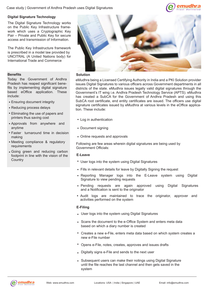

#### **Digital Signature Technology**

The Digital Signature Technology works on the Public Key Infrastructure framework which uses a Cryptographic Key Pair – Private and Public Key for secure access and transmission of Information.

The Public Key Infrastructure framework is prescribed in a model law provided by UNCITRAL (A United Nations body) for International Trade and Commerce

#### **Benefits**

Today the Government of Andhra Pradesh has reaped significant benefits by implementing digital signature based eOffice application. These include:

- Ensuring document integrity
- Reducing process delays
- Eliminating the use of papers and printers thus saving cost
- Approvals from anywhere and anytime
- Faster turnaround time in decision making
- Meeting compliance & regulatory requirements
- Going green and reducing carbon footprint in line with the vision of the



#### **Solution**

eMudhra being a Licensed Certifying Authority in India and a PKI Solution provider issues Digital Signatures to various officers across Government departments in all districts of the state. eMudhra issues legally valid digital signatures through the Government's IT wing i.e. Andhra Pradesh Technology Service (APTS). eMudhra has created a SubCA for the Government of Andhra Pradesh and using this SubCA root certificate, end entity certificates are issued. The officers use digital signature certificates issued by eMudhra at various levels in the eOffice application. These include:

- Log in authentication
- Document signing
- Online requests and approvals

Following are few areas wherein digital signatures are being used by Government Officials:

#### **E-Leave**

- Country **Country Country Country Country Country Country Country Country Country Country Country Country Country Country Country Country Country Country Country Country Country Country Country Country Country Country Count** 
	- Fills in relevant details for leave by Digitally Signing the request
	- Reporting Manager logs into the E-Leave system using Digital Signature to view pending requests
	- Pending requests are again approved using Digital Signatures and a Notification is sent to the originator
	- Audit logs are maintained to trace the originator, approver and activities performed on the system

#### **E-Filing**

- User logs into the system using Digital Signatures
- Scans the document to the e-Office System and enters meta data based on which a diary number is created
- Creates a new e-File, enters meta data based on which system creates a new e-File number
- Opens e-File, notes, creates, approves and issues drafts
- Digitally signs e-File and sends to the next user
- Subsequent users can make their notings using Digital Signature until the file reaches the last channel and then gets saved in the system